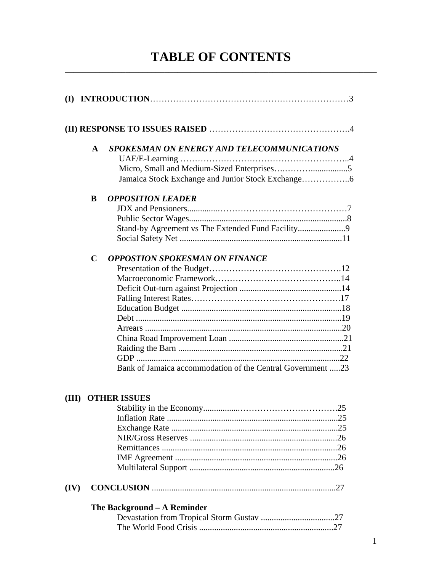# **TABLE OF CONTENTS** \_\_\_\_\_\_\_\_\_\_\_\_\_\_\_\_\_\_\_\_\_\_\_\_\_\_\_\_\_\_\_\_\_\_\_\_\_\_\_\_\_\_\_\_\_\_\_\_\_\_\_\_\_\_\_\_\_\_\_\_\_\_\_\_\_\_\_\_\_\_\_\_

| (I)   |              |                                                                                                     |
|-------|--------------|-----------------------------------------------------------------------------------------------------|
|       |              |                                                                                                     |
|       | $\mathbf{A}$ | SPOKESMAN ON ENERGY AND TELECOMMUNICATIONS                                                          |
|       | B            | <b>OPPOSITION LEADER</b><br>Stand-by Agreement vs The Extended Fund Facility9                       |
|       | $\mathbf C$  | <b>OPPOSTION SPOKESMAN ON FINANCE</b><br>Bank of Jamaica accommodation of the Central Government 23 |
| (III) |              | <b>OTHER ISSUES</b>                                                                                 |
| (IV)  |              |                                                                                                     |
|       |              | The Background - A Reminder                                                                         |

The World Food Crisis ..............................................................27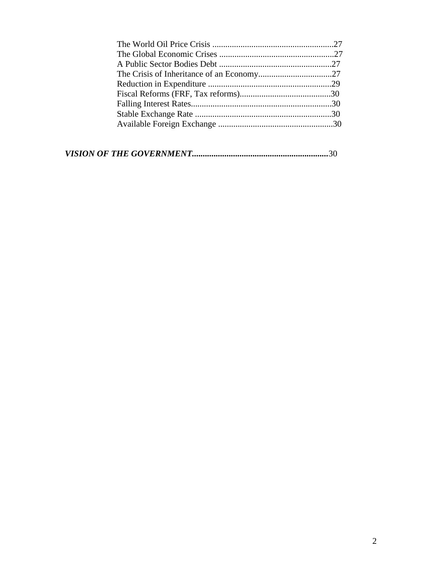|--|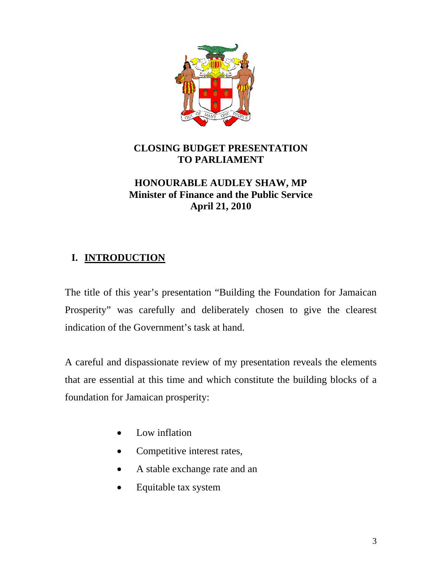

# **CLOSING BUDGET PRESENTATION TO PARLIAMENT**

## **HONOURABLE AUDLEY SHAW, MP Minister of Finance and the Public Service April 21, 2010**

# **I. INTRODUCTION**

The title of this year's presentation "Building the Foundation for Jamaican Prosperity" was carefully and deliberately chosen to give the clearest indication of the Government's task at hand.

A careful and dispassionate review of my presentation reveals the elements that are essential at this time and which constitute the building blocks of a foundation for Jamaican prosperity:

- Low inflation
- Competitive interest rates,
- A stable exchange rate and an
- Equitable tax system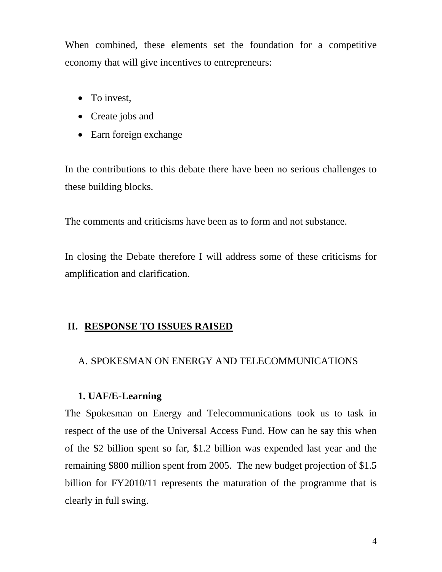When combined, these elements set the foundation for a competitive economy that will give incentives to entrepreneurs:

- To invest,
- Create jobs and
- Earn foreign exchange

In the contributions to this debate there have been no serious challenges to these building blocks.

The comments and criticisms have been as to form and not substance.

In closing the Debate therefore I will address some of these criticisms for amplification and clarification.

## **II. RESPONSE TO ISSUES RAISED**

#### A. SPOKESMAN ON ENERGY AND TELECOMMUNICATIONS

#### **1. UAF/E-Learning**

The Spokesman on Energy and Telecommunications took us to task in respect of the use of the Universal Access Fund. How can he say this when of the \$2 billion spent so far, \$1.2 billion was expended last year and the remaining \$800 million spent from 2005. The new budget projection of \$1.5 billion for FY2010/11 represents the maturation of the programme that is clearly in full swing.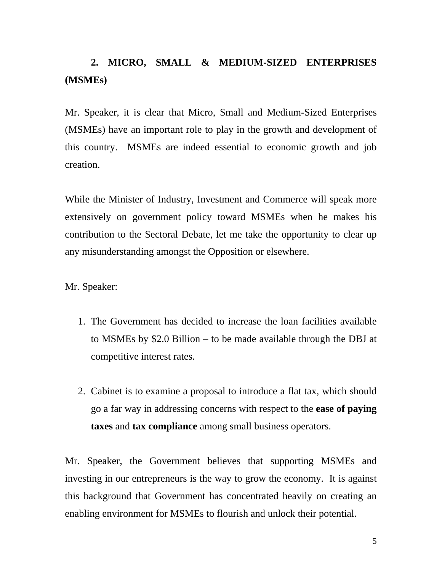# **2. MICRO, SMALL & MEDIUM-SIZED ENTERPRISES (MSMEs)**

Mr. Speaker, it is clear that Micro, Small and Medium-Sized Enterprises (MSMEs) have an important role to play in the growth and development of this country. MSMEs are indeed essential to economic growth and job creation.

While the Minister of Industry, Investment and Commerce will speak more extensively on government policy toward MSMEs when he makes his contribution to the Sectoral Debate, let me take the opportunity to clear up any misunderstanding amongst the Opposition or elsewhere.

Mr. Speaker:

- 1. The Government has decided to increase the loan facilities available to MSMEs by \$2.0 Billion – to be made available through the DBJ at competitive interest rates.
- 2. Cabinet is to examine a proposal to introduce a flat tax, which should go a far way in addressing concerns with respect to the **ease of paying taxes** and **tax compliance** among small business operators.

Mr. Speaker, the Government believes that supporting MSMEs and investing in our entrepreneurs is the way to grow the economy. It is against this background that Government has concentrated heavily on creating an enabling environment for MSMEs to flourish and unlock their potential.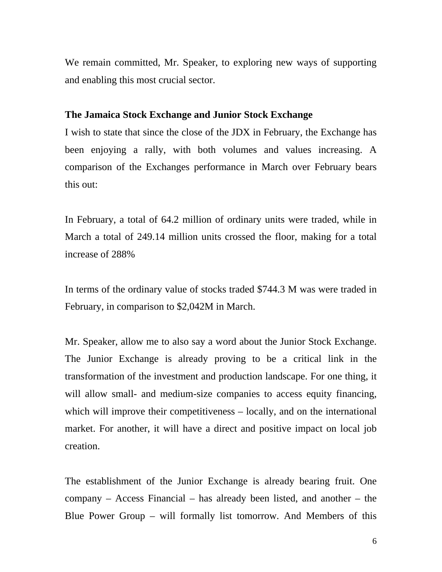We remain committed, Mr. Speaker, to exploring new ways of supporting and enabling this most crucial sector.

#### **The Jamaica Stock Exchange and Junior Stock Exchange**

I wish to state that since the close of the JDX in February, the Exchange has been enjoying a rally, with both volumes and values increasing. A comparison of the Exchanges performance in March over February bears this out:

In February, a total of 64.2 million of ordinary units were traded, while in March a total of 249.14 million units crossed the floor, making for a total increase of 288%

In terms of the ordinary value of stocks traded \$744.3 M was were traded in February, in comparison to \$2,042M in March.

Mr. Speaker, allow me to also say a word about the Junior Stock Exchange. The Junior Exchange is already proving to be a critical link in the transformation of the investment and production landscape. For one thing, it will allow small- and medium-size companies to access equity financing, which will improve their competitiveness – locally, and on the international market. For another, it will have a direct and positive impact on local job creation.

The establishment of the Junior Exchange is already bearing fruit. One company – Access Financial – has already been listed, and another – the Blue Power Group – will formally list tomorrow. And Members of this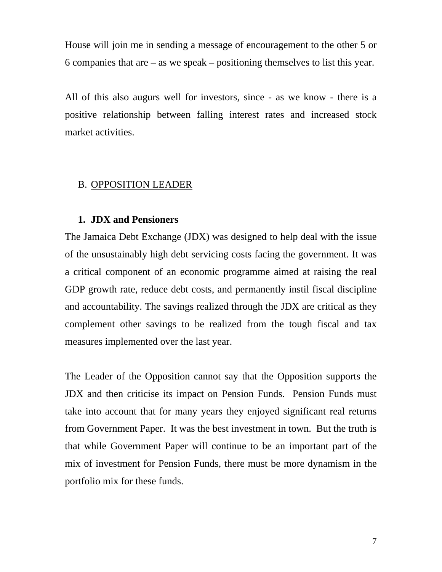House will join me in sending a message of encouragement to the other 5 or 6 companies that are – as we speak – positioning themselves to list this year.

All of this also augurs well for investors, since - as we know - there is a positive relationship between falling interest rates and increased stock market activities.

## B. OPPOSITION LEADER

## **1. JDX and Pensioners**

The Jamaica Debt Exchange (JDX) was designed to help deal with the issue of the unsustainably high debt servicing costs facing the government. It was a critical component of an economic programme aimed at raising the real GDP growth rate, reduce debt costs, and permanently instil fiscal discipline and accountability. The savings realized through the JDX are critical as they complement other savings to be realized from the tough fiscal and tax measures implemented over the last year.

The Leader of the Opposition cannot say that the Opposition supports the JDX and then criticise its impact on Pension Funds. Pension Funds must take into account that for many years they enjoyed significant real returns from Government Paper. It was the best investment in town. But the truth is that while Government Paper will continue to be an important part of the mix of investment for Pension Funds, there must be more dynamism in the portfolio mix for these funds.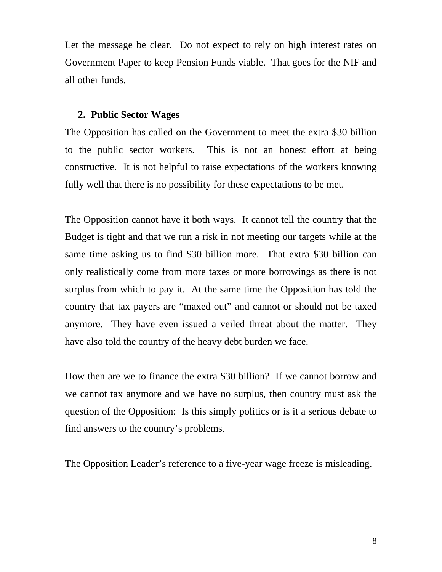Let the message be clear. Do not expect to rely on high interest rates on Government Paper to keep Pension Funds viable. That goes for the NIF and all other funds.

#### **2. Public Sector Wages**

The Opposition has called on the Government to meet the extra \$30 billion to the public sector workers. This is not an honest effort at being constructive. It is not helpful to raise expectations of the workers knowing fully well that there is no possibility for these expectations to be met.

The Opposition cannot have it both ways. It cannot tell the country that the Budget is tight and that we run a risk in not meeting our targets while at the same time asking us to find \$30 billion more. That extra \$30 billion can only realistically come from more taxes or more borrowings as there is not surplus from which to pay it. At the same time the Opposition has told the country that tax payers are "maxed out" and cannot or should not be taxed anymore. They have even issued a veiled threat about the matter. They have also told the country of the heavy debt burden we face.

How then are we to finance the extra \$30 billion? If we cannot borrow and we cannot tax anymore and we have no surplus, then country must ask the question of the Opposition: Is this simply politics or is it a serious debate to find answers to the country's problems.

The Opposition Leader's reference to a five-year wage freeze is misleading.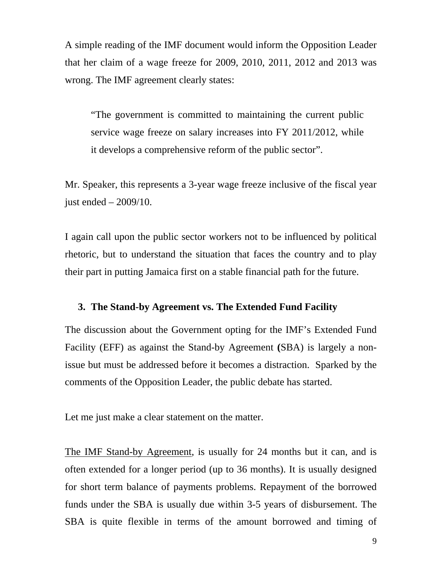A simple reading of the IMF document would inform the Opposition Leader that her claim of a wage freeze for 2009, 2010, 2011, 2012 and 2013 was wrong. The IMF agreement clearly states:

"The government is committed to maintaining the current public service wage freeze on salary increases into FY 2011/2012, while it develops a comprehensive reform of the public sector".

Mr. Speaker, this represents a 3-year wage freeze inclusive of the fiscal year just ended – 2009/10.

I again call upon the public sector workers not to be influenced by political rhetoric, but to understand the situation that faces the country and to play their part in putting Jamaica first on a stable financial path for the future.

#### **3. The Stand-by Agreement vs. The Extended Fund Facility**

The discussion about the Government opting for the IMF's Extended Fund Facility (EFF) as against the Stand-by Agreement **(**SBA) is largely a nonissue but must be addressed before it becomes a distraction. Sparked by the comments of the Opposition Leader, the public debate has started.

Let me just make a clear statement on the matter.

The IMF Stand-by Agreement, is usually for 24 months but it can, and is often extended for a longer period (up to 36 months). It is usually designed for short term balance of payments problems. Repayment of the borrowed funds under the SBA is usually due within 3-5 years of disbursement. The SBA is quite flexible in terms of the amount borrowed and timing of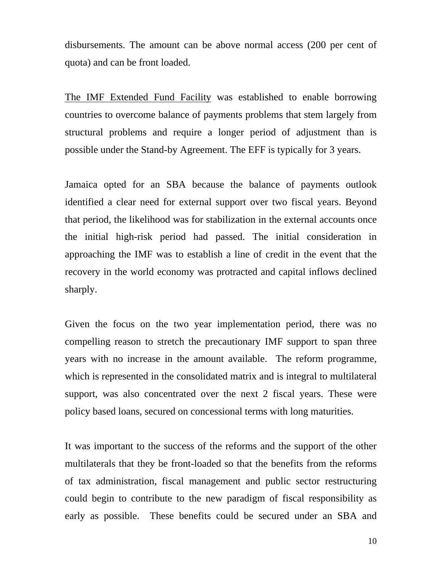disbursements. The amount can be above normal access (200 per cent of quota) and can be front loaded.

The IMF Extended Fund Facility was established to enable borrowing countries to overcome balance of payments problems that stem largely from structural problems and require a longer period of adjustment than is possible under the Stand-by Agreement. The EFF is typically for 3 years.

Jamaica opted for an SBA because the balance of payments outlook identified a clear need for external support over two fiscal years. Beyond that period, the likelihood was for stabilization in the external accounts once the initial high-risk period had passed. The initial consideration in approaching the IMF was to establish a line of credit in the event that the recovery in the world economy was protracted and capital inflows declined sharply.

Given the focus on the two year implementation period, there was no compelling reason to stretch the precautionary IMF support to span three years with no increase in the amount available. The reform programme, which is represented in the consolidated matrix and is integral to multilateral support, was also concentrated over the next 2 fiscal years. These were policy based loans, secured on concessional terms with long maturities.

It was important to the success of the reforms and the support of the other multilaterals that they be front-loaded so that the benefits from the reforms of tax administration, fiscal management and public sector restructuring could begin to contribute to the new paradigm of fiscal responsibility as early as possible. These benefits could be secured under an SBA and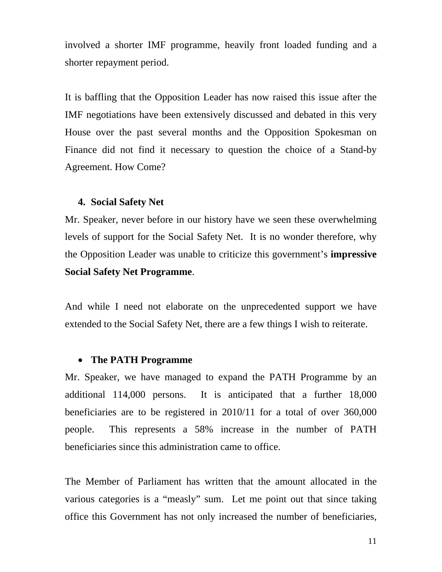involved a shorter IMF programme, heavily front loaded funding and a shorter repayment period.

It is baffling that the Opposition Leader has now raised this issue after the IMF negotiations have been extensively discussed and debated in this very House over the past several months and the Opposition Spokesman on Finance did not find it necessary to question the choice of a Stand-by Agreement. How Come?

#### **4. Social Safety Net**

Mr. Speaker, never before in our history have we seen these overwhelming levels of support for the Social Safety Net. It is no wonder therefore, why the Opposition Leader was unable to criticize this government's **impressive Social Safety Net Programme**.

And while I need not elaborate on the unprecedented support we have extended to the Social Safety Net, there are a few things I wish to reiterate.

#### • **The PATH Programme**

Mr. Speaker, we have managed to expand the PATH Programme by an additional 114,000 persons. It is anticipated that a further 18,000 beneficiaries are to be registered in 2010/11 for a total of over 360,000 people. This represents a 58% increase in the number of PATH beneficiaries since this administration came to office.

The Member of Parliament has written that the amount allocated in the various categories is a "measly" sum. Let me point out that since taking office this Government has not only increased the number of beneficiaries,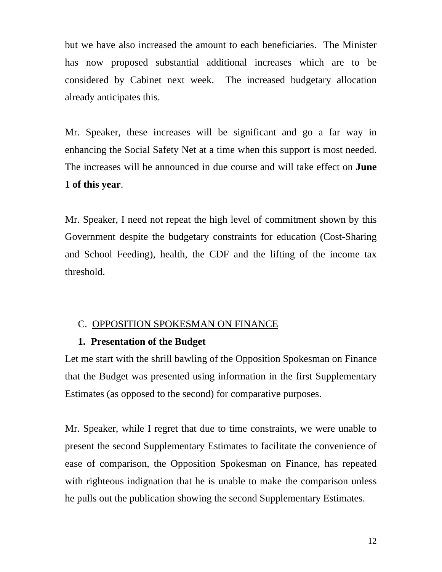but we have also increased the amount to each beneficiaries. The Minister has now proposed substantial additional increases which are to be considered by Cabinet next week. The increased budgetary allocation already anticipates this.

Mr. Speaker, these increases will be significant and go a far way in enhancing the Social Safety Net at a time when this support is most needed. The increases will be announced in due course and will take effect on **June 1 of this year**.

Mr. Speaker, I need not repeat the high level of commitment shown by this Government despite the budgetary constraints for education (Cost-Sharing and School Feeding), health, the CDF and the lifting of the income tax threshold.

#### C. OPPOSITION SPOKESMAN ON FINANCE

#### **1. Presentation of the Budget**

Let me start with the shrill bawling of the Opposition Spokesman on Finance that the Budget was presented using information in the first Supplementary Estimates (as opposed to the second) for comparative purposes.

Mr. Speaker, while I regret that due to time constraints, we were unable to present the second Supplementary Estimates to facilitate the convenience of ease of comparison, the Opposition Spokesman on Finance, has repeated with righteous indignation that he is unable to make the comparison unless he pulls out the publication showing the second Supplementary Estimates.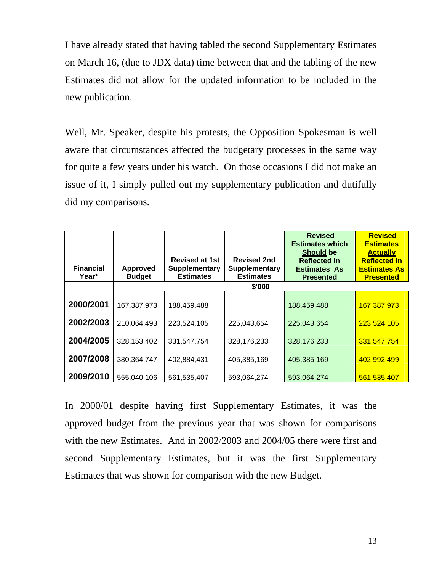I have already stated that having tabled the second Supplementary Estimates on March 16, (due to JDX data) time between that and the tabling of the new Estimates did not allow for the updated information to be included in the new publication.

Well, Mr. Speaker, despite his protests, the Opposition Spokesman is well aware that circumstances affected the budgetary processes in the same way for quite a few years under his watch. On those occasions I did not make an issue of it, I simply pulled out my supplementary publication and dutifully did my comparisons.

| <b>Financial</b><br>Year* | <b>Approved</b><br><b>Budget</b> | <b>Revised at 1st</b><br><b>Supplementary</b><br><b>Estimates</b> | <b>Revised 2nd</b><br><b>Supplementary</b><br><b>Estimates</b> | <b>Revised</b><br><b>Estimates which</b><br><b>Should be</b><br><b>Reflected in</b><br><b>Estimates As</b><br><b>Presented</b> | <b>Revised</b><br><b>Estimates</b><br><b>Actually</b><br><b>Reflected in</b><br><b>Estimates As</b><br><b>Presented</b> |
|---------------------------|----------------------------------|-------------------------------------------------------------------|----------------------------------------------------------------|--------------------------------------------------------------------------------------------------------------------------------|-------------------------------------------------------------------------------------------------------------------------|
|                           |                                  |                                                                   | \$'000                                                         |                                                                                                                                |                                                                                                                         |
| 2000/2001                 | 167,387,973                      | 188,459,488                                                       |                                                                | 188,459,488                                                                                                                    | 167,387,973                                                                                                             |
| 2002/2003                 | 210,064,493                      | 223,524,105                                                       | 225,043,654                                                    | 225,043,654                                                                                                                    | 223,524,105                                                                                                             |
| 2004/2005                 | 328,153,402                      | 331,547,754                                                       | 328,176,233                                                    | 328,176,233                                                                                                                    | 331,547,754                                                                                                             |
| 2007/2008                 | 380,364,747                      | 402,884,431                                                       | 405,385,169                                                    | 405,385,169                                                                                                                    | 402,992,499                                                                                                             |
| 2009/2010                 | 555,040,106                      | 561,535,407                                                       | 593,064,274                                                    | 593,064,274                                                                                                                    | 561,535,407                                                                                                             |

In 2000/01 despite having first Supplementary Estimates, it was the approved budget from the previous year that was shown for comparisons with the new Estimates. And in 2002/2003 and 2004/05 there were first and second Supplementary Estimates, but it was the first Supplementary Estimates that was shown for comparison with the new Budget.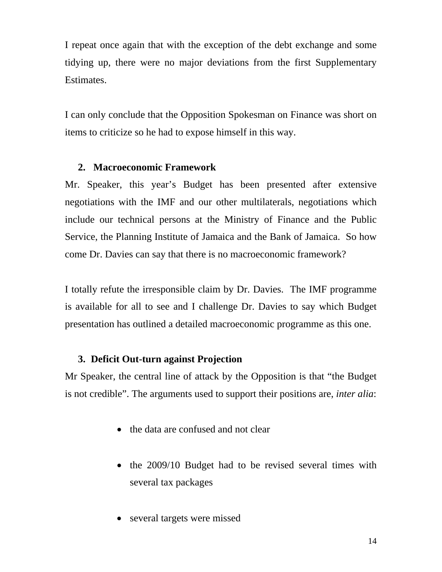I repeat once again that with the exception of the debt exchange and some tidying up, there were no major deviations from the first Supplementary Estimates.

I can only conclude that the Opposition Spokesman on Finance was short on items to criticize so he had to expose himself in this way.

## **2. Macroeconomic Framework**

Mr. Speaker, this year's Budget has been presented after extensive negotiations with the IMF and our other multilaterals, negotiations which include our technical persons at the Ministry of Finance and the Public Service, the Planning Institute of Jamaica and the Bank of Jamaica. So how come Dr. Davies can say that there is no macroeconomic framework?

I totally refute the irresponsible claim by Dr. Davies. The IMF programme is available for all to see and I challenge Dr. Davies to say which Budget presentation has outlined a detailed macroeconomic programme as this one.

## **3. Deficit Out-turn against Projection**

Mr Speaker, the central line of attack by the Opposition is that "the Budget is not credible". The arguments used to support their positions are, *inter alia*:

- the data are confused and not clear
- the 2009/10 Budget had to be revised several times with several tax packages
- several targets were missed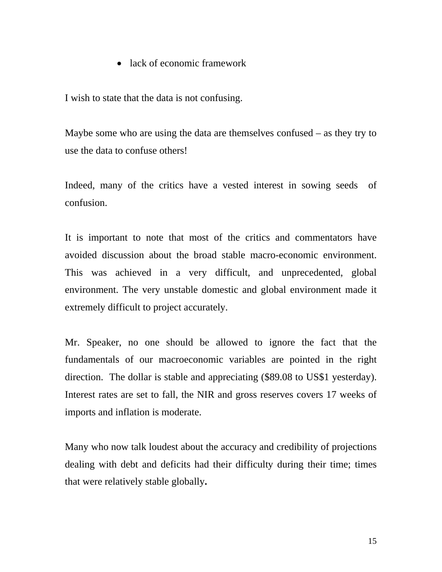• lack of economic framework

I wish to state that the data is not confusing.

Maybe some who are using the data are themselves confused – as they try to use the data to confuse others!

Indeed, many of the critics have a vested interest in sowing seeds of confusion.

It is important to note that most of the critics and commentators have avoided discussion about the broad stable macro-economic environment. This was achieved in a very difficult, and unprecedented, global environment. The very unstable domestic and global environment made it extremely difficult to project accurately.

Mr. Speaker, no one should be allowed to ignore the fact that the fundamentals of our macroeconomic variables are pointed in the right direction. The dollar is stable and appreciating (\$89.08 to US\$1 yesterday). Interest rates are set to fall, the NIR and gross reserves covers 17 weeks of imports and inflation is moderate.

Many who now talk loudest about the accuracy and credibility of projections dealing with debt and deficits had their difficulty during their time; times that were relatively stable globally**.**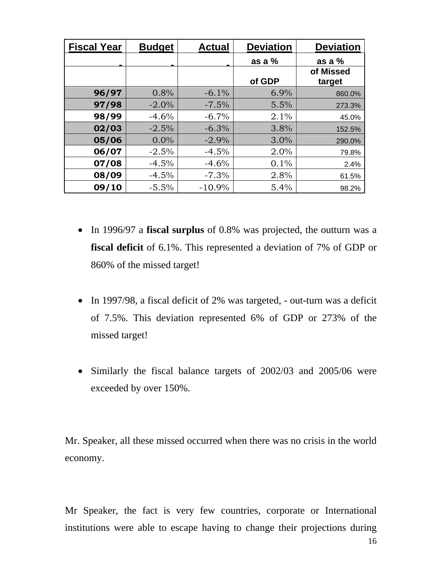| <b>Fiscal Year</b> | <b>Budget</b> | <b>Actual</b> | <b>Deviation</b> | <b>Deviation</b>    |
|--------------------|---------------|---------------|------------------|---------------------|
|                    |               |               | as a %           | as a $%$            |
|                    |               |               | of GDP           | of Missed<br>target |
| 96/97              | 0.8%          | $-6.1%$       | 6.9%             | 860.0%              |
| 97/98              | $-2.0\%$      | $-7.5%$       | 5.5%             | 273.3%              |
| 98/99              | $-4.6%$       | $-6.7\%$      | 2.1%             | 45.0%               |
| 02/03              | $-2.5%$       | $-6.3%$       | 3.8%             | 152.5%              |
| 05/06              | $0.0\%$       | $-2.9%$       | 3.0%             | 290.0%              |
| 06/07              | $-2.5%$       | $-4.5%$       | 2.0%             | 79.8%               |
| 07/08              | $-4.5%$       | $-4.6%$       | 0.1%             | 2.4%                |
| 08/09              | $-4.5%$       | $-7.3%$       | 2.8%             | 61.5%               |
| 09/10              | $-5.5%$       | $-10.9%$      | 5.4%             | 98.2%               |

- In 1996/97 a **fiscal surplus** of 0.8% was projected, the outturn was a **fiscal deficit** of 6.1%. This represented a deviation of 7% of GDP or 860% of the missed target!
- In 1997/98, a fiscal deficit of 2% was targeted, out-turn was a deficit of 7.5%. This deviation represented 6% of GDP or 273% of the missed target!
- Similarly the fiscal balance targets of 2002/03 and 2005/06 were exceeded by over 150%.

Mr. Speaker, all these missed occurred when there was no crisis in the world economy.

Mr Speaker, the fact is very few countries, corporate or International institutions were able to escape having to change their projections during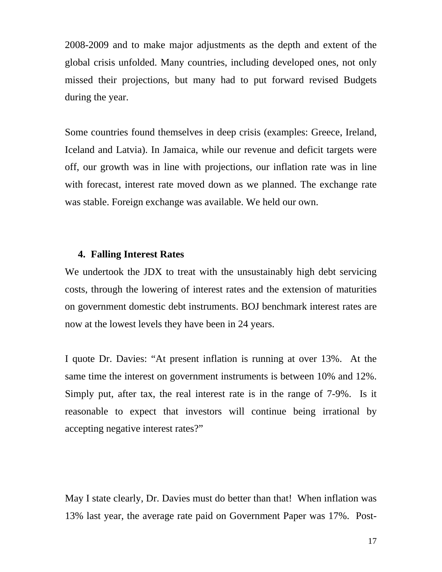2008-2009 and to make major adjustments as the depth and extent of the global crisis unfolded. Many countries, including developed ones, not only missed their projections, but many had to put forward revised Budgets during the year.

Some countries found themselves in deep crisis (examples: Greece, Ireland, Iceland and Latvia). In Jamaica, while our revenue and deficit targets were off, our growth was in line with projections, our inflation rate was in line with forecast, interest rate moved down as we planned. The exchange rate was stable. Foreign exchange was available. We held our own.

#### **4. Falling Interest Rates**

We undertook the JDX to treat with the unsustainably high debt servicing costs, through the lowering of interest rates and the extension of maturities on government domestic debt instruments. BOJ benchmark interest rates are now at the lowest levels they have been in 24 years.

I quote Dr. Davies: "At present inflation is running at over 13%. At the same time the interest on government instruments is between 10% and 12%. Simply put, after tax, the real interest rate is in the range of 7-9%. Is it reasonable to expect that investors will continue being irrational by accepting negative interest rates?"

May I state clearly, Dr. Davies must do better than that! When inflation was 3% last year, the average rate paid on Government Paper was 17%. Post-1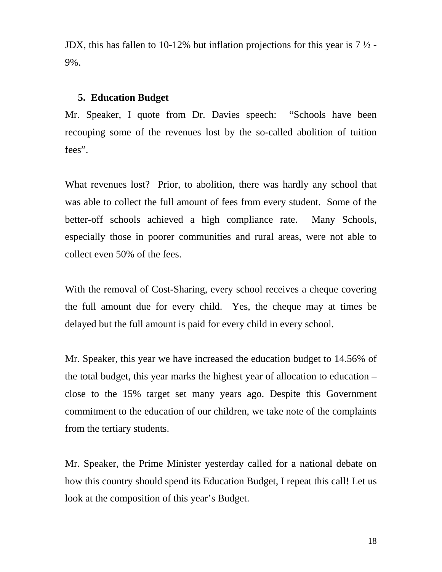JDX, this has fallen to 10-12% but inflation projections for this year is  $7\frac{1}{2}$  -9%.

#### **Education Budget 5.**

Mr. Speaker, I quote from Dr. Davies speech: "Schools have been recouping some of the revenues lost by the so-called abolition of tuition fees".

What revenues lost? Prior, to abolition, there was hardly any school that was able to collect the full amount of fees from every student. Some of the better-off schools achieved a high compliance rate. Many Schools, especially those in poorer communities and rural areas, were not able to collect even 50% of the fees.

With the removal of Cost-Sharing, every school receives a cheque covering the full amount due for every child. Yes, the cheque may at times be delayed but the full amount is paid for every child in every school.

Mr. Speaker, this year we have increased the education budget to 14.56% of the total budget, this year marks the highest year of allocation to education – close to the 15% target set many years ago. Despite this Government commitment to the education of our children, we take note of the complaints from the tertiary students.

Mr. Speaker, the Prime Minister yesterday called for a national debate on how this country should spend its Education Budget, I repeat this call! Let us look at the composition of this year's Budget.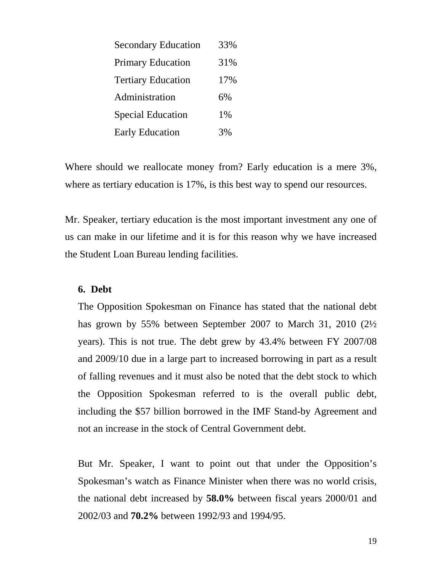| <b>Secondary Education</b> | 33% |
|----------------------------|-----|
| <b>Primary Education</b>   | 31% |
| <b>Tertiary Education</b>  | 17% |
| Administration             | 6%  |
| <b>Special Education</b>   | 1%  |
| <b>Early Education</b>     | 3%  |

Where should we reallocate money from? Early education is a mere 3%, where as tertiary education is 17%, is this best way to spend our resources.

Mr. Speaker, tertiary education is the most important investment any one of us can make in our lifetime and it is for this reason why we have increased the Student Loan Bureau lending facilities.

## **6. Debt**

has grown by 55% between September 2007 to March 31, 2010 (21/2) years). This is not true. The debt grew by 43.4% between FY 2007/08 and 2009/10 due in a large part to increased borrowing in part as a result The Opposition Spokesman on Finance has stated that the national debt of falling revenues and it must also be noted that the debt stock to which the Opposition Spokesman referred to is the overall public debt, including the \$57 billion borrowed in the IMF Stand-by Agreement and not an increase in the stock of Central Government debt.

the national debt increased by **58.0%** between fiscal years 2000/01 and 002/03 and **70.2%** between 1992/93 and 1994/95. 2But Mr. Speaker, I want to point out that under the Opposition's Spokesman's watch as Finance Minister when there was no world crisis,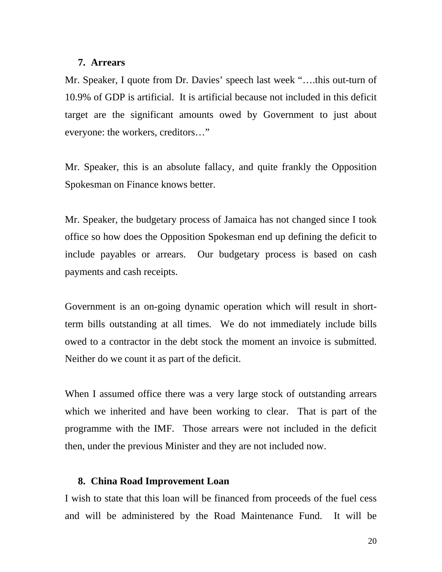#### **7. Arrears**

Mr . Speaker, I quote from Dr. Davies' speech last week "….this out-turn of 10.9% of GDP is artificial. It is artificial because not included in this deficit target are the significant amounts owed by Government to just about everyone: the workers, creditors..."

Mr. Speaker, this is an absolute fallacy, and quite frankly the Opposition Spokesman on Finance knows better.

Mr. Speaker, the budgetary process of Jamaica has not changed since I took include payables or arrears. Our budgetary process is based on cash ayments and cash receipts. p office so how does the Opposition Spokesman end up defining the deficit to

owed to a contractor in the debt stock the moment an invoice is submitted. Neither do we count it as part of the deficit. Government is an on-going dynamic operation which will result in shortterm bills outstanding at all times. We do not immediately include bills

programme with the IMF. Those arrears were not included in the deficit then, under the previous Minister and they are not included now. When I assumed office there was a very large stock of outstanding arrears which we inherited and have been working to clear. That is part of the

#### **8. China Road Improvement Loan**

and will be administered by the Road Maintenance Fund. It will be I wish to state that this loan will be financed from proceeds of the fuel cess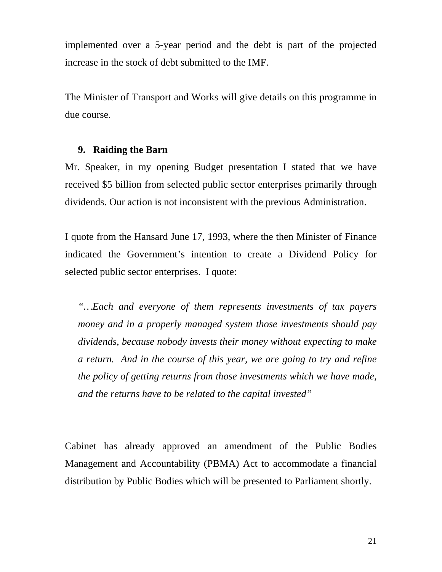implemented over a 5-year period and the debt is part of the projected increase in the stock of debt submitted to the IMF.

The Minister of Transport and Works will give details on this programme in due course.

#### **9. Raiding the Barn**

received \$5 billion from selected public sector enterprises primarily through dividends. Our action is not inconsistent with the previous Administration. Mr. Speaker, in my opening Budget presentation I stated that we have

I quote from the Hansard June 17, 1993, where the then Minister of Finance indicated the Government's intention to create a Dividend Policy for selected public sector enterprises. I quote:

dividends, because nobody invests their money without expecting to make a return. And in the course of this year, we are going to try and refine *"…Each and everyone of them represents investments of tax payers money and in a properly managed system those investments should pay the policy of getting returns from those investments which we have made, and the returns have to be related to the capital invested"* 

Ca binet has already approved an amendment of the Public Bodies Management and Accountability (PBMA) Act to accommodate a financial distribution by Public Bodies which will be presented to Parliament shortly.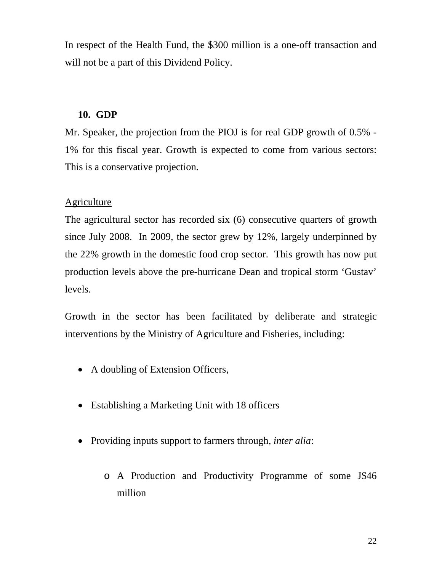In respect of the Health Fund, the \$300 million is a one-off transaction and will not be a part of this Dividend Policy.

## **10. GDP**

Mr. Speaker, the projection from the PIOJ is for real GDP growth of 0.5% -1% for this fiscal year. Growth is expected to come from various sectors: This is a conservative projection.

## **Agriculture**

The agricultural sector has recorded six (6) consecutive quarters of growth since July 2008. In 2009, the sector grew by 12%, largely underpinned by the 22% growth in the domestic food crop sector. This growth has now put production levels above the pre-hurricane Dean and tropical storm 'Gustav' levels.

Growth in the sector has been facilitated by deliberate and strategic interventions by the Ministry of Agriculture and Fisheries, including:

- A doubling of Extension Officers,
- Establishing a Marketing Unit with 18 officers
- Providing inputs support to farmers through, *inter alia*:
	- o A Production and Productivity Programme of some J\$46 million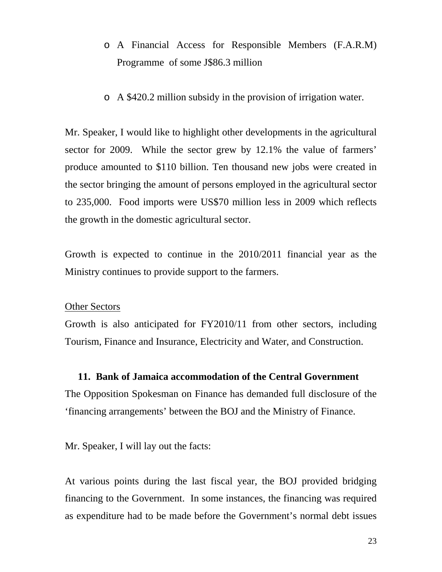- Programme of some J\$86.3 million o A Financial Access for Responsible Members (F.A.R.M)
- o A \$420.2 million subsidy in the provision of irrigation water.

Mr. Speaker, I would like to highlight other developments in the agricultural sector for 2009. While the sector grew by 12.1% the value of farmers' produce amounted to \$110 billion. Ten thousand new jobs were created in the sector bringing the amount of persons employed in the agricultural sector to 235,000. Food imports were US\$70 million less in 2009 which reflects the growth in the domestic agricultural sector.

Ministry continues to provide support to the farmers. Growth is expected to continue in the 2010/2011 financial year as the

#### Other Sectors

Growth is also anticipated for FY2010/11 from other sectors, including Tourism, Finance and Insurance, Electricity and Water, and Construction.

## **11. Bank of Jamaica accommodation of the Central Government**

The Opposition Spokesman on Finance has demanded full disclosure of the 'financing arrangements' between the BOJ and the Ministry of Finance.

Mr. Speaker, I will lay out the facts:

At various points during the last fiscal year, the BOJ provided bridging financing to the Government. In some instances, the financing was required as expenditure had to be made before the Government's normal debt issues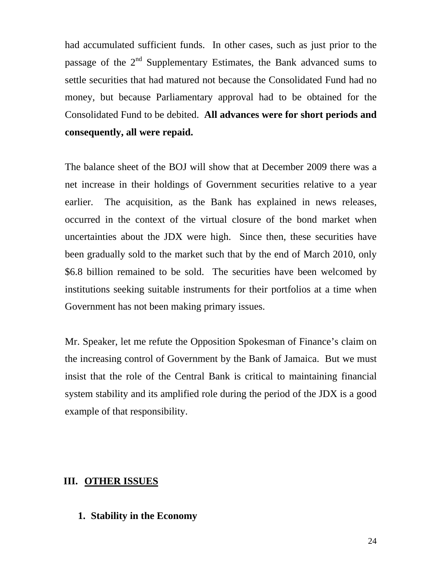had accumulated sufficient funds. In other cases, such as just prior to the passage of the  $2<sup>nd</sup>$  Supplementary Estimates, the Bank advanced sums to settle securities that had matured not because the Consolidated Fund had no money, but because Parliamentary approval had to be obtained for the Consolidated Fund to be debited. **All advances were for short periods and consequently, all were repaid.** 

net increase in their holdings of Government securities relative to a year The acquisition, as the Bank has explained in news releases, The balance sheet of the BOJ will show that at December 2009 there was a earlier. occurred in the context of the virtual closure of the bond market when uncertainties about the JDX were high. Since then, these securities have been gradually sold to the market such that by the end of March 2010, only \$6.8 billion remained to be sold. The securities have been welcomed by institutions seeking suitable instruments for their portfolios at a time when Government has not been making primary issues.

the increasing control of Government by the Bank of Jamaica. But we must insist that the role of the Central Bank is critical to maintaining financial Mr. Speaker, let me refute the Opposition Spokesman of Finance's claim on system stability and its amplified role during the period of the JDX is a good example of that responsibility.

#### **III.** OTHER ISSUES

#### **1. Stability in the Economy**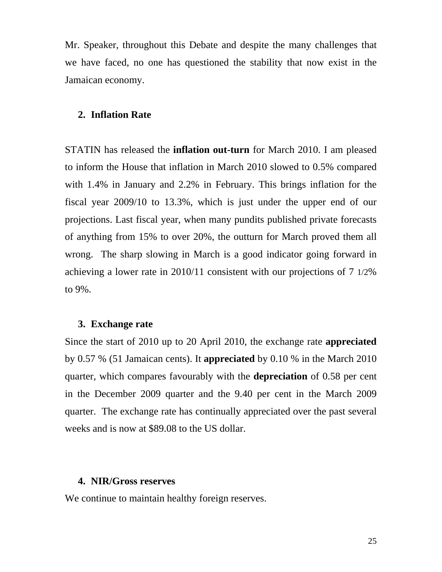Mr. Speaker, throughout this Debate and despite the many challenges that we have faced, no one has questioned the stability that now exist in the Jamaican economy.

#### **2. Inflation Rate**

STATIN has released the **inflation out-turn** for March 2010. I am pleased to inform the House that inflation in March  $2010$  slowed to  $0.5\%$  compared with  $1.4\%$  in January and  $2.2\%$  in February. This brings inflation for the fiscal year 2009/10 to 13.3%, which is just under the upper end of our projections. Last fiscal year, when many pundits published private forecasts of anything from 15% to over 20%, the outturn for March proved them all wrong. The sharp slowing in March is a good indicator going forward in achieving a lower rate in 2010/11 consistent with our projections of 7 1/2% to 9%.

#### **3. Exchange rate**

Since the start of 2010 up to 20 April 2010, the exchange rate **appreciated** by 0.57 % (51 Jamaican cents). It **appreciated** by 0.10 % in the March 2010 quarter, which compares favourably with the **depreciation** of 0.58 per cent in the December 2009 quarter and the 9.40 per cent in the March 2009 quarter. The exchange rate has continually appreciated over the past several weeks and is now at \$89.08 to the US dollar.

#### **4. NIR/Gross reserves**

We continue to maintain healthy foreign reserves.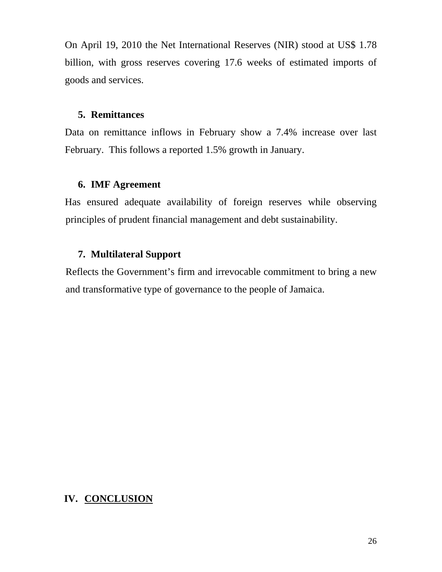On April 19, 2010 the Net International Reserves (NIR) stood at US\$ 1.78 billion, with gross reserves covering 17.6 weeks of estimated imports of goods and services.

#### **5. Remittances**

Data on remittance inflows in February show a 7.4% increase over last February. This follows a reported 1.5% growth in January.

## **6. IMF Agreement**

Has ensured adequate availability of foreign reserves while observing principles of prudent financial management and debt sustainability.

## **7. Multilateral Support**

Reflects the Government's firm and irrevocable commitment to bring a new and transformative type of governance to the people of Jamaica.

# **. CONCLUSION IV**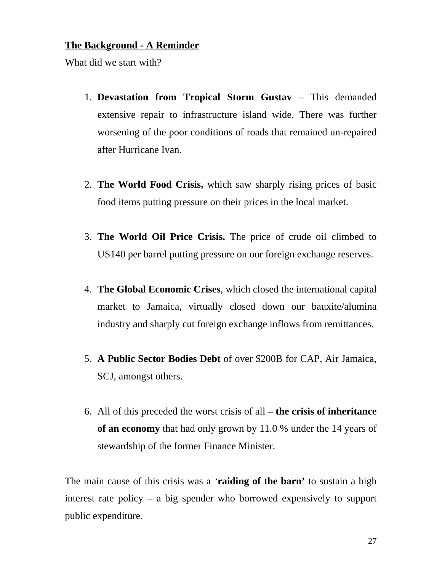## **The Background - A Reminder**

What did we start with?

- 1. **Devastation from Tropical Storm Gustav** This demanded extensive repair to infrastructure island wide. There was further worsening of the poor conditions of roads that remained un-repaired after Hurricane Ivan.
- 2. **The World Food Crisis,** which saw sharply rising prices of basic food items putting pressure on their prices in the local market.
- 3. The World Oil Price Crisis. The price of crude oil climbed to US140 per barrel putting pressure on our foreign exchange reserves.
- market to Jamaica, virtually closed down our bauxite/alumina 4. **The Global Economic Crises**, which closed the international capital industry and sharply cut foreign exchange inflows from remittances.
- SCJ, amongst others. 5. **A Public Sector Bodies Debt** of over \$200B for CAP, Air Jamaica,
- 6. All of this preceded the worst crisis of all the crisis of inheritance **of an economy** that had only grown by 11.0 % under the 14 years of stewardship of the former Finance Minister.

The main cause of this crisis was a 'raiding of the barn' to sustain a high interest rate policy  $-$  a big spender who borrowed expensively to support public expenditure.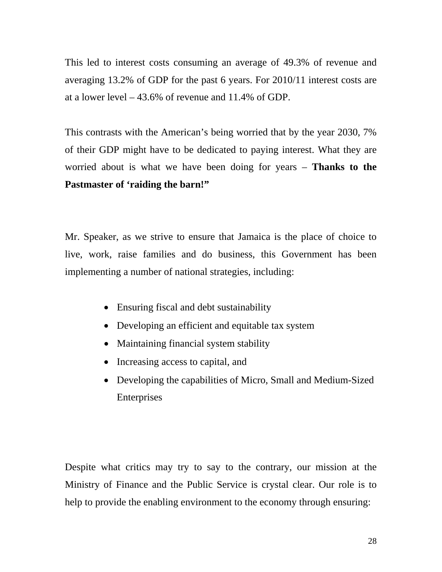averaging  $13.2\%$  of GDP for the past 6 years. For  $2010/11$  interest costs are at a lower level  $-43.6\%$  of revenue and 11.4% of GDP. This led to interest costs consuming an average of 49.3% of revenue and

of their GDP might have to be dedicated to paying interest. What they are worried about is what we have been doing for years - **Thanks to the** This contrasts with the American's being worried that by the year 2030, 7% **Pastmaster of 'raiding the barn!"**

Mr. Speaker, as we strive to ensure that Jamaica is the place of choice to live, work, raise families and do business, this Government has been implementing a number of national strategies, including:

- Ensuring fiscal and debt sustainability
- Developing an efficient and equitable tax system
- Maintaining financial system stability
- Increasing access to capital, and
- Developing the capabilities of Micro, Small and Medium-Sized Enterprises

Despite what critics may try to say to the contrary, our mission at the Ministry of Finance and the Public Service is crystal clear. Our role is to help to provide the enabling environment to the economy through ensuring: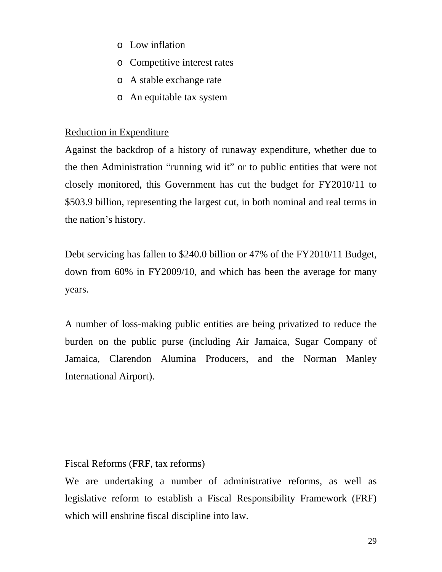- o Low inflation
- o Competitive interest rates
- o A stable exchange rate
- o An equitable tax system

## **Reduction in Expenditure**

Against the backdrop of a history of runaway expenditure, whether due to the then Administration "running wid it" or to public entities that were not closely monitored, this Government has cut the budget for FY2010/11 to \$503.9 billion, representing the largest cut, in both nominal and real terms in the nation's history.

Debt servicing has fallen to \$240.0 billion or 47% of the FY2010/11 Budget, down from 60% in FY2009/10, and which has been the average for many years.

Jamaica, Clarendon Alumina Producers, and the Norman Manley International Airport). A number of loss-making public entities are being privatized to reduce the burden on the public purse (including Air Jamaica, Sugar Company of

## Fiscal Reforms (FRF, tax reforms)

We are undertaking a number of administrative reforms, as well as legislative reform to establish a Fiscal Responsibility Framework (FRF) which will enshrine fiscal discipline into law.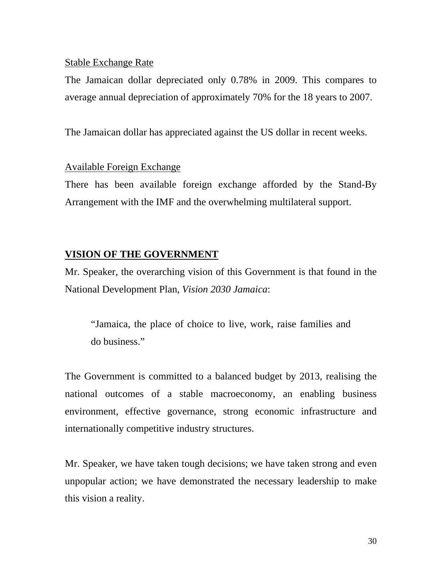## Stable Exchange Rate

The Jamaican dollar depreciated only 0.78% in 2009. This compares to average annual depreciation of approximately 70% for the 18 years to 2007.

The Jamaican dollar has appreciated against the US dollar in recent weeks.

## Available Foreign Exchange

There has been available foreign exchange afforded by the Stand-By Arrangement with the IMF and the overwhelming multilateral support.

## **VISION OF THE GOVERNMENT**

Mr. Speaker, the overarching vision of this Government is that found in the National Development Plan, Vision 2030 Jamaica:

"Jamaica, the place of choice to live, work, raise families and do business."

The Government is committed to a balanced budget by 2013, realising the national outcomes of a stable macroeconomy, an enabling business environment, effective governance, strong economic infrastructure and internationally competitive industry structures.

Mr. Speaker, we have taken tough decisions; we have taken strong and even unpopular action; we have demonstrated the necessary leadership to make this vision a reality.